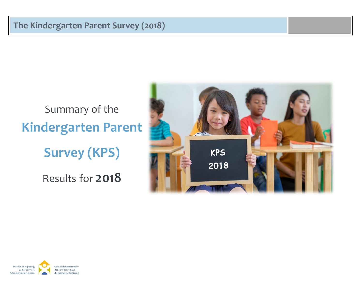# Summary of the **Kindergarten Parent Survey (KPS)** Results for **2018**



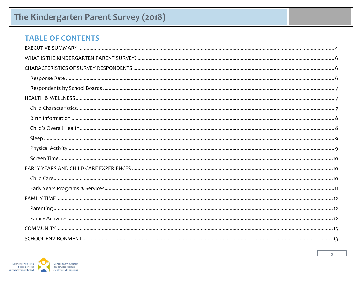### **TABLE OF CONTENTS**

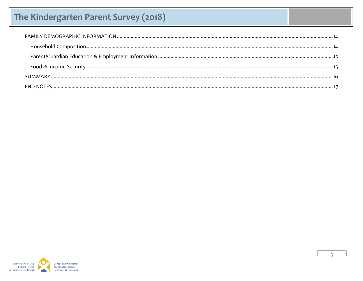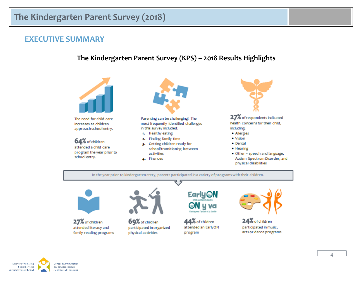### <span id="page-3-0"></span>**EXECUTIVE SUMMARY**

### The Kindergarten Parent Survey (KPS) - 2018 Results Highlights



The need for child care increases as children approach school entry.

64% of children attended a child care program the year prior to school entry.



Parenting can be challenging! The most frequently identified challenges in this survey included:

- 1. Healthy eating
- 2. Finding family time
- 3. Getting children ready for school/transitioning between activities
- 4. Finances



27% of respondents indicated health concerns for their child, including:

- · Allergies
- · Vision
- · Dental
- · Hearing
- . Other speech and language, Autism Spectrum Disorder, and physical disabilities

In the year prior to kindergarten entry, parents participated in a variety of programs with their children.



27% of children attended literacy and family reading programs



69% of children participated in organized physical activities



44% of children attended an EarlyON program



24% of children participated in music, arts or dance programs

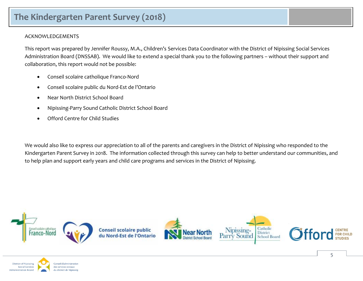#### ACKNOWLEDGEMENTS

This report was prepared by Jennifer Roussy, M.A., Children's Services Data Coordinator with the District of Nipissing Social Services Administration Board (DNSSAB). We would like to extend a special thank you to the following partners – without their support and collaboration, this report would not be possible:

- Conseil scolaire catholique Franco-Nord
- Conseil scolaire public du Nord-Est de l'Ontario
- Near North District School Board
- Nipissing-Parry Sound Catholic District School Board
- Offord Centre for Child Studies

We would also like to express our appreciation to all of the parents and caregivers in the District of Nipissing who responded to the Kindergarten Parent Survey in 2018. The information collected through this survey can help to better understand our communities, and to help plan and support early years and child care programs and services in the District of Nipissing.



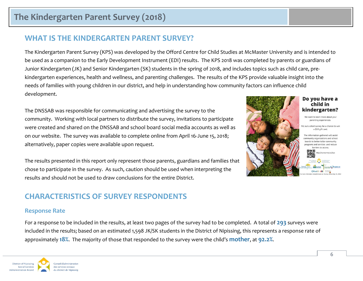### <span id="page-5-0"></span>**WHAT IS THE KINDERGARTEN PARENT SURVEY?**

The Kindergarten Parent Survey (KPS) was developed by the Offord Centre for Child Studies at McMaster University and is intended to be used as a companion to the Early Development Instrument (EDI) results. The KPS 2018 was completed by parents or guardians of Junior Kindergarten (JK) and Senior Kindergarten (SK) students in the spring of 2018, and includes topics such as child care, prekindergarten experiences, health and wellness, and parenting challenges. The results of the KPS provide valuable insight into the needs of families with young children in our district, and help in understanding how community factors can influence child development.

The DNSSAB was responsible for communicating and advertising the survey to the community. Working with local partners to distribute the survey, invitations to participate were created and shared on the DNSSAB and school board social media accounts as well as on our website. The survey was available to complete online from April 16-June 15, 2018; alternatively, paper copies were available upon request.

The results presented in this report only represent those parents, guardians and families that chose to participate in the survey. As such, caution should be used when interpreting the results and should not be used to draw conclusions for the entire District.

### <span id="page-5-1"></span>**CHARACTERISTICS OF SURVEY RESPONDENTS**

#### <span id="page-5-2"></span>**Response Rate**

For a response to be included in the results, at least two pages of the survey had to be completed. A total of **293** surveys were included in the results; based on an estimated 1,598 JK/SK students in the District of Nipissing, this represents a response rate of approximately **18%**. The majority of those that responded to the survey were the child's **mother**, at **92.2%**.





#### Do you have a child in kindergarten?

We want to learn more about your parenting experiences.

Fill out a short survey for a chance to win a \$50 gift card.

The information gathered will assist community organizations and school boards to better tailor community programs and services and reduce barriers to access.

ttp://oursurvey.ca/kps

Offord ED, Making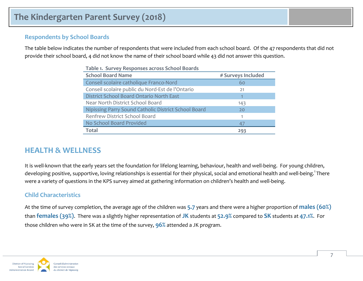#### <span id="page-6-0"></span>**Respondents by School Boards**

The table below indicates the number of respondents that were included from each school board. Of the 47 respondents that did not provide their school board, 4 did not know the name of their school board while 43 did not answer this question.

| Table 1. Survey Responses across School Boards       |                    |  |  |
|------------------------------------------------------|--------------------|--|--|
| <b>School Board Name</b>                             | # Surveys Included |  |  |
| Conseil scolaire catholique Franco-Nord              | 60                 |  |  |
| Conseil scolaire public du Nord-Est de l'Ontario     | 21                 |  |  |
| District School Board Ontario North East             | 1                  |  |  |
| Near North District School Board                     | 143                |  |  |
| Nipissing Parry Sound Catholic District School Board | 20                 |  |  |
| Renfrew District School Board                        |                    |  |  |
| No School Board Provided                             | 47                 |  |  |
| <b>Total</b>                                         | 293                |  |  |

**Table 1. Survey Responses across School Boards**

### <span id="page-6-1"></span>**HEALTH & WELLNESS**

It is well-known that the early years set the foundation for lifelong learning, behaviour, health and well-being. For young children, developing positive, supportive, loving relationships is essential for their physical, social and emotional health and well-being.<sup>1</sup> There were a variety of questions in the KPS survey aimed at gathering information on children's health and well-being.

#### <span id="page-6-2"></span>**Child Characteristics**

At the time of survey completion, the average age of the children was **5.7** years and there were a higher proportion of **males (60%)** than **females (39%)**. There was a slightly higher representation of **JK** students at **52.9%** compared to **SK** students at **47.1%**. For those children who were in SK at the time of the survey, **96%** attended a JK program.

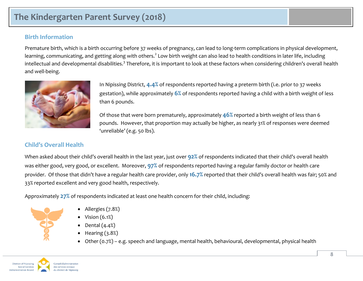#### <span id="page-7-0"></span>**Birth Information**

Premature birth, which is a birth occurring before 37 weeks of pregnancy, can lead to long-term complications in physical development, learning, communicating, and getting along with others.<sup>2</sup> Low birth weight can also lead to health conditions in later life, including intellectual and developmental disabilities.<sup>3</sup> Therefore, it is important to look at these factors when considering children's overall health and well-being.



In Nipissing District, **4.4%** of respondents reported having a preterm birth (i.e. prior to 37 weeks gestation), while approximately **6%** of respondents reported having a child with a birth weight of less than 6 pounds.

Of those that were born prematurely, approximately **46%** reported a birth weight of less than 6 pounds. However, that proportion may actually be higher, as nearly 31% of responses were deemed 'unreliable' (e.g. 50 lbs).

### <span id="page-7-1"></span>**Child's Overall Health**

When asked about their child's overall health in the last year, just over **92%** of respondents indicated that their child's overall health was either good, very good, or excellent. Moreover, **97%** of respondents reported having a regular family doctor or health care provider. Of those that didn't have a regular health care provider, only **16.7%** reported that their child's overall health was fair; 50% and 33% reported excellent and very good health, respectively.

Approximately **27%** of respondents indicated at least one health concern for their child, including:



- Allergies (7.8%)
- Vision (6.1%)
- Dental (4.4%)
- Hearing (3.8%)
- Other (0.7%) e.g. speech and language, mental health, behavioural, developmental, physical health

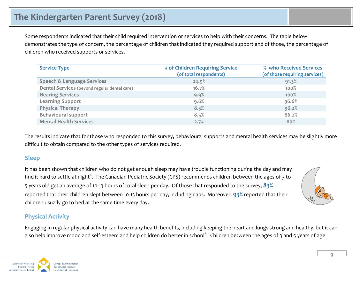Some respondents indicated that their child required intervention or services to help with their concerns. The table below demonstrates the type of concern, the percentage of children that indicated they required support and of those, the percentage of children who received supports or services.

| <b>Service Type</b>                          | % of Children Requiring Service<br>(of total respondents) | % who Received Services<br>(of those requiring services) |
|----------------------------------------------|-----------------------------------------------------------|----------------------------------------------------------|
| <b>Speech &amp; Language Services</b>        | 24.9%                                                     | 91.3%                                                    |
| Dental Services (beyond regular dental care) | 16.7%                                                     | 100%                                                     |
| <b>Hearing Services</b>                      | 9.9%                                                      | $100\%$                                                  |
| <b>Learning Support</b>                      | 9.6%                                                      | 96.6%                                                    |
| <b>Physical Therapy</b>                      | 8.5%                                                      | 96.2%                                                    |
| <b>Behavioural support</b>                   | 8.5%                                                      | 86.2%                                                    |
| <b>Mental Health Services</b>                | 2.7%                                                      | 80%                                                      |

The results indicate that for those who responded to this survey, behavioural supports and mental health services may be slightly more difficult to obtain compared to the other types of services required.

#### <span id="page-8-0"></span>**Sleep**

It has been shown that children who do not get enough sleep may have trouble functioning during the day and may find it hard to settle at night<sup>4</sup>. The Canadian Pediatric Society (CPS) recommends children between the ages of 3 to 5 years old get an average of 10-13 hours of total sleep per day. Of those that responded to the survey, **83%** reported that their children slept between 10-13 hours per day, including naps. Moreover, **93%** reported that their children usually go to bed at the same time every day.

#### <span id="page-8-1"></span>**Physical Activity**

Engaging in regular physical activity can have many health benefits, including keeping the heart and lungs strong and healthy, but it can also help improve mood and self-esteem and help children do better in school<sup>5</sup>. Children between the ages of 3 and 5 years of age

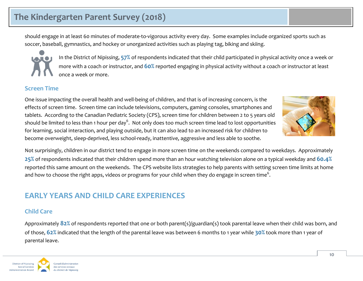should engage in at least 60 minutes of moderate-to-vigorous activity every day. Some examples include organized sports such as soccer, baseball, gymnastics, and hockey or unorganized activities such as playing tag, biking and skiing.



In the District of Nipissing, **57%** of respondents indicated that their child participated in physical activity once a week or more with a coach or instructor, and **60%** reported engaging in physical activity without a coach or instructor at least once a week or more.

#### <span id="page-9-0"></span>**Screen Time**

One issue impacting the overall health and well-being of children, and that is of increasing concern, is the effects of screen time. Screen time can include televisions, computers, gaming consoles, smartphones and tablets. According to the Canadian Pediatric Society (CPS), screen time for children between 2 to 5 years old should be limited to less than 1 hour per day<sup>6</sup>. Not only does too much screen time lead to lost opportunities for learning, social interaction, and playing outside, but it can also lead to an increased risk for children to become overweight, sleep-deprived, less school-ready, inattentive, aggressive and less able to soothe.



Not surprisingly, children in our district tend to engage in more screen time on the weekends compared to weekdays. Approximately **25%** of respondents indicated that their children spend more than an hour watching television alone on a typical weekday and **60.4%** reported this same amount on the weekends. The CPS website lists strategies to help parents with setting screen time limits at home and how to choose the right apps, videos or programs for your child when they do engage in screen time $^6\!.$ 

### <span id="page-9-1"></span>**EARLY YEARS AND CHILD CARE EXPERIENCES**

#### <span id="page-9-2"></span>**Child Care**

Approximately **82%** of respondents reported that one or both parent(s)/guardian(s) took parental leave when their child was born, and of those, **62%** indicated that the length of the parental leave was between 6 months to 1 year while **30%** took more than 1 year of parental leave.

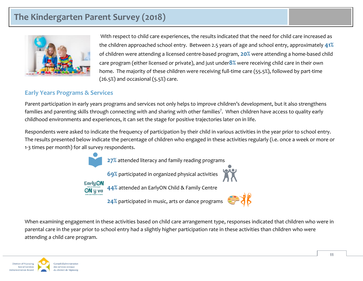

With respect to child care experiences, the results indicated that the need for child care increased as the children approached school entry. Between 2.5 years of age and school entry, approximately **41%** of children were attending a licensed centre-based program, **20%** were attending a home-based child care program (either licensed or private), and just under**8%** were receiving child care in their own home. The majority of these children were receiving full-time care (55.5%), followed by part-time  $(26.5%)$  and occasional  $(5.5%)$  care.

#### <span id="page-10-0"></span>**Early Years Programs & Services**

Parent participation in early years programs and services not only helps to improve children's development, but it also strengthens families and parenting skills through connecting with and sharing with other families<sup>7</sup>. When children have access to quality early childhood environments and experiences, it can set the stage for positive trajectories later on in life.

Respondents were asked to indicate the frequency of participation by their child in various activities in the year prior to school entry. The results presented below indicate the percentage of children who engaged in these activities regularly (i.e. once a week or more or 1-3 times per month) for all survey respondents.



When examining engagement in these activities based on child care arrangement type, responses indicated that children who were in parental care in the year prior to school entry had a slightly higher participation rate in these activities than children who were attending a child care program.

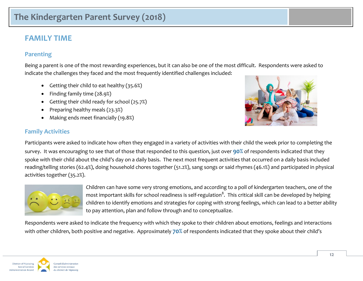### <span id="page-11-0"></span>**FAMILY TIME**

#### <span id="page-11-1"></span>**Parenting**

Being a parent is one of the most rewarding experiences, but it can also be one of the most difficult. Respondents were asked to indicate the challenges they faced and the most frequently identified challenges included:

- Getting their child to eat healthy  $(35.6%)$
- Finding family time (28.9%)
- Getting their child ready for school (25.7%)
- Preparing healthy meals (23.3%)
- Making ends meet financially (19.8%)

### <span id="page-11-2"></span>**Family Activities**



Participants were asked to indicate how often they engaged in a variety of activities with their child the week prior to completing the survey. It was encouraging to see that of those that responded to this question, just over **90%** of respondents indicated that they spoke with their child about the child's day on a daily basis. The next most frequent activities that occurred on a daily basis included reading/telling stories (62.4%), doing household chores together (51.2%), sang songs or said rhymes (46.1%) and participated in physical activities together (35.2%).



Children can have some very strong emotions, and according to a poll of kindergarten teachers, one of the most important skills for school readiness is self-regulation $^8\!\!$  . This critical skill can be developed by helping children to identify emotions and strategies for coping with strong feelings, which can lead to a better ability to pay attention, plan and follow through and to conceptualize.

Respondents were asked to indicate the frequency with which they spoke to their children about emotions, feelings and interactions with other children, both positive and negative. Approximately **70%** of respondents indicated that they spoke about their child's

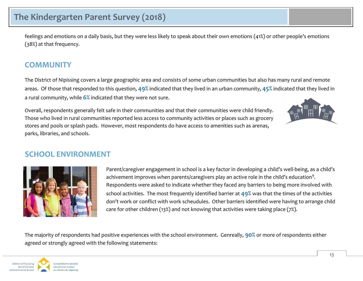feelings and emotions on a daily basis, but they were less likely to speak about their own emotions (41%) or other people's emotions (38%) at that frequency.

### <span id="page-12-0"></span>**COMMUNITY**

The District of Nipissing covers a large geographic area and consists of some urban communities but also has many rural and remote areas. Of those that responded to this question, **49%** indicated that they lived in an urban community, **45%** indicated that they lived in a rural community, while **6%** indicated that they were not sure.

Overall, respondents generally felt safe in their communities and that their communities were child friendly. Those who lived in rural communities reported less access to community activities or places such as grocery stores and pools or splash pads. However, most respondents do have access to amenities such as arenas, parks, libraries, and schools.



### <span id="page-12-1"></span>**SCHOOL ENVIRONMENT**



Parent/caregiver engagement in school is a key factor in developing a child's well-being, as a child's achivement improves when parents/caregivers play an active role in the child's education $^9\!\!$ . Respondents were asked to indicate whether they faced any barriers to being more involved with school activities. The most frequently identified barrier at **49%** was that the times of the activities don't work or conflict with work scheudules. Other barriers identified were having to arrange child care for other children (13%) and not knowing that activities were taking place (7%).

The majority of respondents had positive experiences with the school environment. Genreally, **90%** or more of respondents either agreed or strongly agreed with the following statements:

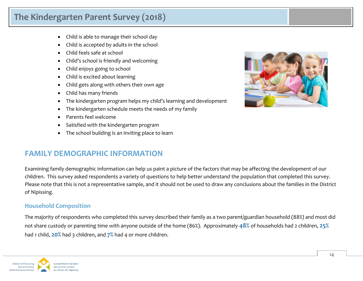- Child is able to manage their school day
- Child is accepted by adults in the school
- Child feels safe at school
- Child's school is friendly and welcoming
- Child enjoys going to school
- Child is excited about learning
- Child gets along with others their own age
- Child has many friends
- The kindergarten program helps my child's learning and development
- The kindergarten schedule meets the needs of my family
- Parents feel welcome
- Satisfied with the kindergarten program
- The school building is an inviting place to learn

### <span id="page-13-0"></span>**FAMILY DEMOGRAPHIC INFORMATION**

Examining family demographic information can help us paint a picture of the factors that may be affecting the development of our children. This survey asked respondents a variety of questions to help better understand the population that completed this survey. Please note that this is not a representative sample, and it should not be used to draw any conclusions about the families in the District of Nipissing.

#### <span id="page-13-1"></span>**Household Composition**

The majority of respondents who completed this survey described their family as a two parent/guardian household (88%) and most did not share custody or parenting time with anyone outside of the home (86%). Approximately **48%** of households had 2 children, **25%** had 1 child, **20%** had 3 children, and **7%** had 4 or more children.



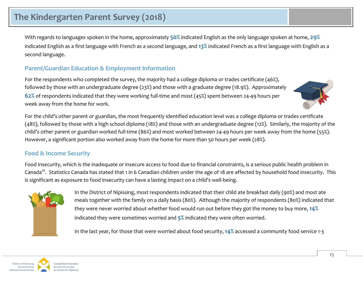With regards to languages spoken in the home, approximately **50%** indicated English as the only language spoken at home, **29%** indicated English as a first language with French as a second language, and **13%** indicated French as a first language with English as a second language.

#### <span id="page-14-0"></span>**Parent/Guardian Education & Employment Information**

For the respondents who completed the survey, the majority had a college diploma or trades certificate (46%), followed by those with an undergraduate degree (23%) and those with a graduate degree (18.9%). Approximately **62%** of respondents indicated that they were working full-time and most (45%) spent between 24-49 hours per week away from the home for work.



For the child's other parent or guardian, the most frequently identified education level was a college diploma or trades certificate (48%), followed by those with a high school diploma (18%) and those with an undergraduate degree (12%). Similarly, the majority of the child's other parent or guardian worked full-time (86%) and most worked between 24-49 hours per week away from the home (55%). However, a significant portion also worked away from the home for more than 50 hours per week (28%).

### <span id="page-14-1"></span>**Food & Income Security**

Food insecurity, which is the inadequate or insecure access to food due to financial constraints, is a serious public health problem in Canada<sup>10</sup>. Statistics Canada has stated that 1 in 6 Canadian children under the age of 18 are affected by household food insecurity. This is significant as exposure to food insecurity can have a lasting impact on a child's well-being.



In the District of Nipissing, most respondents indicated that their child ate breakfast daily (90%) and most ate meals together with the family on a daily basis (80%). Although the majority of respondents (80%) indicated that they were never worried about whether food would run out before they got the money to buy more, **14%** indicated they were sometimes worried and **5%** indicated they were often worried.

In the last year, for those that were worried about food security, **14%** accessed a community food service 1-3

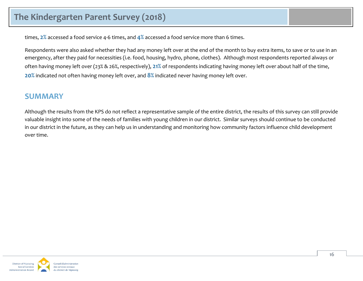times, **2%** accessed a food service 4-6 times, and **4%** accessed a food service more than 6 times.

Respondents were also asked whether they had any money left over at the end of the month to buy extra items, to save or to use in an emergency, after they paid for necessities (i.e. food, housing, hydro, phone, clothes). Although most respondents reported always or often having money left over (23% & 26%, respectively), **21%** of respondents indicating having money left over about half of the time, **20%** indicated not often having money left over, and **8%** indicated never having money left over.

### <span id="page-15-0"></span>**SUMMARY**

Although the results from the KPS do not reflect a representative sample of the entire district, the results of this survey can still provide valuable insight into some of the needs of families with young children in our district. Similar surveys should continue to be conducted in our district in the future, as they can help us in understanding and monitoring how community factors influence child development over time.